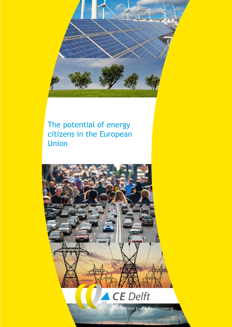

### The potential of energy citizens in the European Union

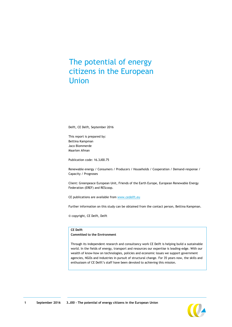### The potential of energy citizens in the European Union

Delft, CE Delft, September 2016

This report is prepared by: Bettina Kampman Jaco Blommerde Maarten Afman

Publication code: 16.3J00.75

Renewable energy / Consumers / Producers / Households / Cooperation / Demand-response / Capacity / Prognoses

Client: Greenpeace European Unit, Friends of the Earth Europe, European Renewable Energy Federation (EREF) and REScoop.

CE publications are available from [www.cedelft.eu](http://www.cedelft.eu/)

Further information on this study can be obtained from the contact person, Bettina Kampman.

© copyright, CE Delft, Delft

#### **CE Delft**

#### **Committed to the Environment**

Through its independent research and consultancy work CE Delft is helping build a sustainable world. In the fields of energy, transport and resources our expertise is leading-edge. With our wealth of know-how on technologies, policies and economic issues we support government agencies, NGOs and industries in pursuit of structural change. For 35 years now, the skills and enthusiasm of CE Delft's staff have been devoted to achieving this mission.

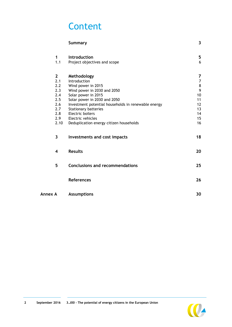## **Content**

|         |                                                                                     | <b>Summary</b>                                                                                                                                                                                                                                                                                                    | $\overline{\mathbf{3}}$                                    |
|---------|-------------------------------------------------------------------------------------|-------------------------------------------------------------------------------------------------------------------------------------------------------------------------------------------------------------------------------------------------------------------------------------------------------------------|------------------------------------------------------------|
|         | $\mathbf{1}$<br>1.1                                                                 | Introduction<br>Project objectives and scope                                                                                                                                                                                                                                                                      | 5<br>6                                                     |
|         | $\mathbf{2}$<br>2.1<br>2.2<br>2.3<br>2.4<br>2.5<br>2.6<br>2.7<br>2.8<br>2.9<br>2.10 | Methodology<br>Introduction<br>Wind power in 2015<br>Wind power in 2030 and 2050<br>Solar power in 2015<br>Solar power in 2030 and 2050<br>Investment potential households in renewable energy<br><b>Stationary batteries</b><br>Electric boilers<br>Electric vehicles<br>Deduplication energy citizen households | 7<br>7<br>8<br>9<br>10<br>11<br>12<br>13<br>14<br>15<br>16 |
|         | 3                                                                                   | Investments and cost impacts                                                                                                                                                                                                                                                                                      | 18                                                         |
|         | $\overline{\mathbf{4}}$                                                             | <b>Results</b>                                                                                                                                                                                                                                                                                                    | 20                                                         |
|         | 5                                                                                   | <b>Conclusions and recommendations</b>                                                                                                                                                                                                                                                                            | 25                                                         |
|         |                                                                                     | <b>References</b>                                                                                                                                                                                                                                                                                                 | 26                                                         |
| Annex A |                                                                                     | <b>Assumptions</b>                                                                                                                                                                                                                                                                                                | 30                                                         |

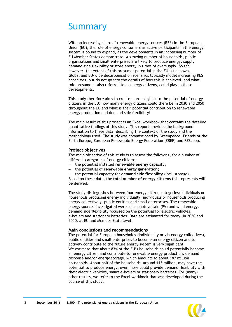## <span id="page-3-0"></span>Summary

With an increasing share of renewable energy sources (RES) in the European Union (EU), the role of energy consumers as active participants in the energy system is bound to expand, as the developments in an increasing number of EU Member States demonstrate. A growing number of households, public organizations and small enterprises are likely to produce energy, supply demand-side flexibility or store energy in times of oversupply. So far, however, the extent of this prosumer potential in the EU is unknown. Global and EU-wide decarbonisation scenarios typically model increasing RES capacities, but do not go into the details of how this is achieved, and what role prosumers, also referred to as energy citizens, could play in these developments.

This study therefore aims to create more insight into the potential of energy citizens in the EU: how many energy citizens could there be in 2030 and 2050 throughout the EU and what is their potential contribution to renewable energy production and demand side flexibility?

The main result of this project is an Excel workbook that contains the detailed quantitative findings of this study. This report provides the background information to these data, describing the context of the study and the methodology used. The study was commissioned by Greenpeace, Friends of the Earth Europe, European Renewable Energy Federation (EREF) and REScoop.

#### **Project objectives**

The main objective of this study is to assess the following, for a number of different categories of energy citizens:

- the potential installed **renewable energy capacity**;
- the potential of **renewable energy generation;**

 the potential capacity for **demand side flexibility** (incl. storage). Based on these data, the **total number of energy citizens** this represents will be derived.

The study distinguishes between four energy citizen categories: individuals or households producing energy individually, individuals or households producing energy collectively, public entities and small enterprises. The renewable energy sources investigated were solar photovoltaic (PV) and wind energy, demand side flexibility focussed on the potential for electric vehicles, e-boilers and stationary batteries. Data are estimated for today, in 2030 and 2050, at EU and Member State level.

#### **Main conclusions and recommendations**

The potential for European households (individually or via energy collectives), public entities and small enterprises to become an energy citizen and to actively contribute to the future energy system is very significant. We estimate that about 83% of the EU's households could potentially become an energy citizen and contribute to renewable energy production, demand response and/or energy storage, which amounts to about 187 million households. About half of the households, around 113 million, may have the potential to produce energy; even more could provide demand flexibility with their electric vehicles, smart e-boilers or stationary batteries. For (many) other results, we refer to the Excel workbook that was developed during the course of this study.

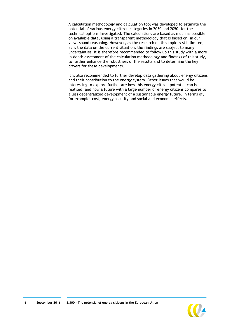A calculation methodology and calculation tool was developed to estimate the potential of various energy citizen categories in 2030 and 2050, for the technical options investigated. The calculations are based as much as possible on available data, using a transparent methodology that is based on, in our view, sound reasoning. However, as the research on this topic is still limited, as is the data on the current situation, the findings are subject to many uncertainties. It is therefore recommended to follow up this study with a more in-depth assessment of the calculation methodology and findings of this study, to further enhance the robustness of the results and to determine the key drivers for these developments.

It is also recommended to further develop data gathering about energy citizens and their contribution to the energy system. Other issues that would be interesting to explore further are how this energy citizen potential can be realised, and how a future with a large number of energy citizens compares to a less decentralized development of a sustainable energy future, in terms of, for example, cost, energy security and social and economic effects.

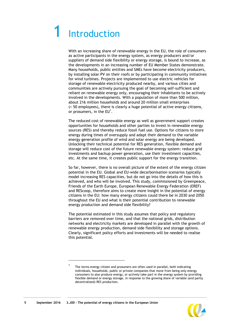## <span id="page-5-0"></span>**Introduction**

With an increasing share of renewable energy in the EU, the role of consumers as active participants in the energy system, as energy producers and/or suppliers of demand side flexibility or energy storage, is bound to increase, as the developments in an increasing number of EU Member States demonstrate. Many households, public entities and SMEs have become electricity producers, by installing solar PV on their roofs or by participating in community initiatives for wind turbines. Projects are implemented to use electric vehicles for storage of renewable electricity produced nearby, and various cities and communities are actively pursuing the goal of becoming self-sufficient and reliant on renewable energy only, encouraging their inhabitants to be actively involved in the developments. With a population of more than 500 million, about 216 million households and around 20 million small enterprises (< 50 employees), there is clearly a huge potential of active energy citizens, or prosumers, in the  $EU^1$ .

The reduced cost of renewable energy as well as government support creates opportunities for households and other parties to invest in renewable energy sources (RES) and thereby reduce fossil fuel use. Options for citizens to store energy during times of oversupply and adapt their demand to the variable energy generation profile of wind and solar energy are being developed. Unlocking their technical potential for RES generation, flexible demand and storage will reduce cost of the future renewable energy system: reduce grid investments and backup power generation, use their investment capacities, etc. At the same time, it creates public support for the energy transition.

So far, however, there is no overall picture of the extent of the energy citizen potential in the EU. Global and EU-wide decarbonisation scenarios typically model increasing RES capacities, but do not go into the details of how this is achieved, and who will be involved. This study, commissioned by Greenpeace, Friends of the Earth Europe, European Renewable Energy Federation (EREF) and REScoop, therefore aims to create more insight in the potential of energy citizens in the EU: how many energy citizens could there be in 2030 and 2050 throughout the EU and what is their potential contribution to renewable energy production and demand side flexibility?

The potential estimated in this study assumes that policy and regulatory barriers are removed over time, and that the national grids, distribution networks and electricity markets are developed in parallel with the growth of renewable energy production, demand side flexibility and storage options. Clearly, significant policy efforts and investments will be needed to realise this potential.

1 1



The terms energy citizen and prosumers are often used in parallel, both indicating individuals, households, public or private companies that move from being only energy consumers to also produce energy, or actively take part in the energy system by providing flexible demand or energy storage, in response to the growing share of variable (and partly decentralized) RES production.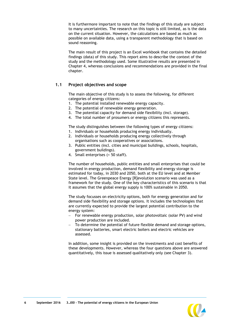It is furthermore important to note that the findings of this study are subject to many uncertainties. The research on this topic is still limited, as is the data on the current situation. However, the calculations are based as much as possible on available data, using a transparent methodology that is based on sound reasoning.

The main result of this project is an Excel workbook that contains the detailed findings (data) of this study. This report aims to describe the context of the study and the methodology used. Some illustrative results are presented in Chapter [4,](#page-20-0) whereas conclusions and recommendations are provided in the final chapter.

#### <span id="page-6-0"></span>**1.1 Project objectives and scope**

The main objective of this study is to assess the following, for different categories of energy citizens:

- 1. The potential installed renewable energy capacity.
- 2. The potential of renewable energy generation.
- 3. The potential capacity for demand side flexibility (incl. storage).
- 4. The total number of prosumers or energy citizens this represents.

The study distinguishes between the following types of energy citizens:

- 1. Individuals or households producing energy individually.
- 2. Individuals or households producing energy collectively through organisations such as cooperatives or associations.
- 3. Public entities (incl. cities and municipal buildings, schools, hospitals, government buildings).
- 4. Small enterprises (< 50 staff).

The number of households, public entities and small enterprises that could be involved in energy production, demand flexibility and energy storage is estimated for today, in 2030 and 2050, both at the EU level and at Member State level. The Greenpeace Energy [R]evolution scenario was used as a framework for the study. One of the key characteristics of this scenario is that it assumes that the global energy supply is 100% sustainable in 2050.

The study focusses on electricity options, both for energy generation and for demand side flexibility and storage options. It includes the technologies that are currently expected to provide the largest potential contribution to the energy system:

- For renewable energy production, solar photovoltaic (solar PV) and wind power production are included.
- To determine the potential of future flexible demand and storage options, stationary batteries, smart electric boilers and electric vehicles are assessed.

In addition, some insight is provided on the investments and cost benefits of these developments. However, whereas the four questions above are answered quantitatively, this issue is assessed qualitatively only (see Chapter [3\)](#page-18-0).

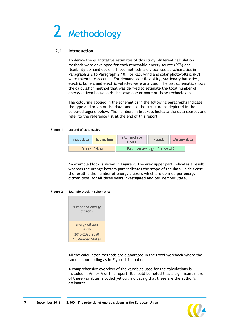# <span id="page-7-0"></span>2 Methodology

#### <span id="page-7-1"></span>**2.1 Introduction**

To derive the quantitative estimates of this study, different calculation methods were developed for each renewable energy source (RES) and flexibility demand option. These methods are visualised as schematics in Paragraph [2.2](#page-8-0) to Paragraph [2.10.](#page-16-0) For RES, wind and solar photovoltaic (PV) were taken into account. For demand side flexibility, stationary batteries, electric boilers and electric vehicles were analysed. The last schematic shows the calculation method that was derived to estimate the total number of energy citizen households that own one or more of these technologies.

The colouring applied in the schematics in the following paragraphs indicate the type and origin of the data, and use the structure as depicted in the coloured legend below. The numbers in brackets indicate the data source, and refer to the reference list at the end of this report.

#### <span id="page-7-3"></span>**Figure 1 Legend of schematics**

| Input data    | <b>Estimation</b> | Intermediate<br>result       | Result | Missing data |  |
|---------------|-------------------|------------------------------|--------|--------------|--|
| Scope of data |                   | Based on average of other MS |        |              |  |

An example block is shown in [Figure](#page-7-2) 2. The grey upper part indicates a result whereas the orange bottom part indicates the scope of the data. In this case the result is the number of energy citizens which are defined per energy citizen type, for all three years investigated and per Member State.

#### <span id="page-7-2"></span>**Figure 2 Example block in schematics**



All the calculation methods are elaborated in the Excel workbook where the same colour coding as in [Figure](#page-7-3) 1 is applied.

A comprehensive overview of the variables used for the calculations is included in Annex A of this report. It should be noted that a significant share of these variables is coded yellow, indicating that these are the author's estimates.

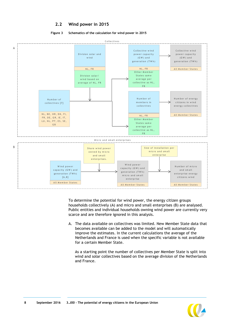#### **2.2 Wind power in 2015**

CONCELIVES [7]<br>NL, BE, HR, DK, FI,<br>FR, DE, GR, IE, IT,<br>III NI PT FS SF

A

FR, DE, GR, IE, IT,<br>LU, NL, PT, ES, SE,<br>GB

<span id="page-8-0"></span>

#### **Figure 3 Schematics of the calculation for wind power in 2015**



To determine the potential for wind power, the energy citizen groups households collectively (A) and micro and small enterprises (B) are analysed. Public entities and individual households owning wind power are currently very scarce and are therefore ignored in this analysis.

collectives<br>NL, FR<br>Other Member<br>States same

A. The data available on collectives was limited. New Member State data that becomes available can be added to the model and will automatically improve the estimates. In the current calculations the average of the Netherlands and France is used when the specific variable is not available for a certain Member State.

As a starting point the number of collectives per Member State is split into wind and solar collectives based on the average division of the Netherlands and France.



energy collectives<br>All Member States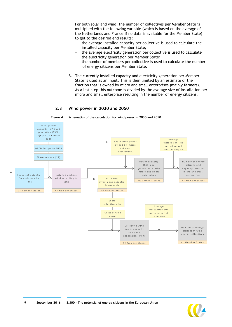For both solar and wind, the number of collectives per Member State is multiplied with the following variable (which is based on the average of the Netherlands and France if no data is available for the Member State) to get to the desired end results:

- the average installed capacity per collective is used to calculate the installed capacity per Member State;
- the average electricity generation per collective is used to calculate the electricity generation per Member State;
- $-$  the number of members per collective is used to calculate the number of energy citizens per Member State.
- B. The currently installed capacity and electricity generation per Member State is used as an input. This is then limited by an estimate of the fraction that is owned by micro and small enterprises (mainly farmers). As a last step this outcome is divided by the average size of installation per micro and small enterprise resulting in the number of energy citizens.

#### **2.3 Wind power in 2030 and 2050**

A

<span id="page-9-0"></span>

**Figure 4 Schematics of the calculation for wind power in 2030 and 2050**

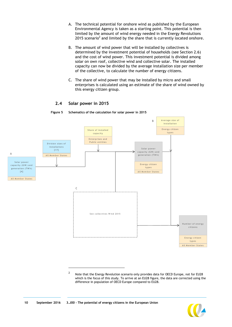- A. The technical potential for onshore wind as published by the European Environmental Agency is taken as a starting point. This potential is then limited by the amount of wind energy needed in the Energy Revolutions 2015 scenario<sup>2</sup> and limited by the share that is currently located onshore.
- <span id="page-10-1"></span>B. The amount of wind power that will be installed by collectives is determined by the investment potential of households (see Section [2.6\)](#page-12-0) and the cost of wind power. This investment potential is divided among solar on own roof, collective wind and collective solar. The installed capacity can now be divided by the average installation size per member of the collective, to calculate the number of energy citizens.
- C. The share of wind power that may be installed by micro and small enterprises is calculated using an estimate of the share of wind owned by this energy citizen group.

#### **2.4 Solar power in 2015**

#### **Figure 5 Schematics of the calculation for solar power in 2015**

<span id="page-10-0"></span>

<sup>2</sup> Note that the Energy Revolution scenario only provides data for OECD Europe, not for EU28 which is the focus of this study. To arrive at an EU28 figure, the data are corrected using the difference in population of OECD Europe compared to EU28.

 $\overline{a}$ 

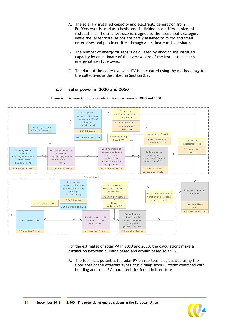- A. The solar PV installed capacity and electricity generation from Eur'Observer is used as a basis, and is divided into different sizes of installations. The smallest size is assigned to the household's category while the larger installations are partly assigned to micro and small enterprises and public entities through an estimate of their share.
- B. The number of energy citizens is calculated by dividing the installed capacity by an estimate of the average size of the installations each energy citizen type owns.
- C. The data of the collective solar PV is calculated using the methodology for the collectives as described in Section [2.2.](#page-8-0)

#### **2.5 Solar power in 2030 and 2050**



<span id="page-11-0"></span>

For the estimates of solar PV in 2030 and 2050, the calculations make a distinction between building based and ground based solar PV.

A. The technical potential for solar PV on rooftops is calculated using the floor area of the different types of buildings from Eurostat combined with building and solar PV characteristics found in literature.

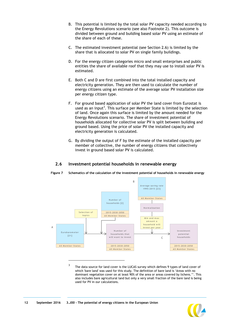- B. This potential is limited by the total solar PV capacity needed according to the Energy Revolutions scenario (see also Footnote [2\)](#page-10-1). This outcome is divided between ground and building based solar PV using an estimate of the share of each of these.
- C. The estimated investment potential (see Section [2.6\)](#page-12-0) is limited by the share that is allocated to solar PV on single family buildings.
- D. For the energy citizen categories micro and small enterprises and public entities the share of available roof that they may use to install solar PV is estimated.
- E. Both C and D are first combined into the total installed capacity and electricity generation. They are then used to calculate the number of energy citizens using an estimate of the average solar PV installation size per energy citizen type.
- F. For ground based application of solar PV the land cover from Eurostat is used as an input<sup>3</sup>. This surface per Member State is limited by the selection of land. Once again this surface is limited by the amount needed for the Energy Revolutions scenario. The share of investment potential of households allocated for collective solar PV is split between building and ground based. Using the price of solar PV the installed capacity and electricity generation is calculated.
- G. By dividing the output of F by the estimate of the installed capacity per member of collective, the number of energy citizens that collectively invest in ground based solar PV is calculated.

#### <span id="page-12-0"></span>**2.6 Investment potential households in renewable energy**



**Figure 7 Schematics of the calculation of the investment potential of households in renewable energy**

3 The data source for land cover is the LUCAS survey which defines 9 types of land cover of which 'bare land' was used for this study. The definition of bare land is 'Areas with no dominant vegetation cover on at least 90% of the area or areas covered by lichens.''. This also includes bare agricultural land but only a very small fraction of the bare land is being used for PV in our calculations.

1

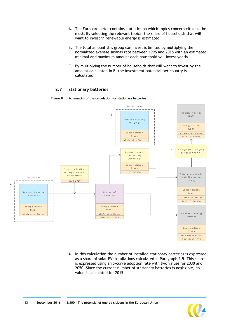- A. The Eurobarometer contains statistics on which topics concern citizens the most. By selecting the relevant topics, the share of households that will want to invest in renewable energy is estimated.
- B. The total amount this group can invest is limited by multiplying their normalized average savings rate between 1995 and 2015 with an estimated minimal and maximum amount each household will invest yearly.
- C. By multiplying the number of households that will want to invest by the amount calculated in B, the investment potential per country is calculated.

#### **2.7 Stationary batteries**



<span id="page-13-0"></span>

A. In this calculation the number of installed stationary batteries is expressed as a share of solar PV installations calculated in Paragraph [2.5.](#page-11-0) This share is expressed using an S-curve adoption rate with two values for 2030 and 2050. Since the current number of stationary batteries is negligible, no value is calculated for 2015.

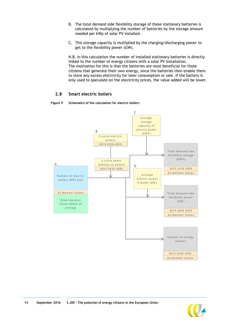- B. The total demand side flexibility storage of these stationary batteries is calculated by multiplying the number of batteries by the storage amount needed per kWp of solar PV installed.
- C. This storage capacity is multiplied by the charging/discharging power to get to the flexibility power (GW).

N.B. In this calculation the number of installed stationary batteries is directly linked to the number of energy citizens with a solar PV installation. The motivation for this is that the batteries are most beneficial for those citizens that generate their own energy, since the batteries then enable them to store any excess electricity for later consumption or sale. If the battery is only used to speculate on the electricity prices, the value added will be lower.

#### **2.8 Smart electric boilers**

<span id="page-14-0"></span>



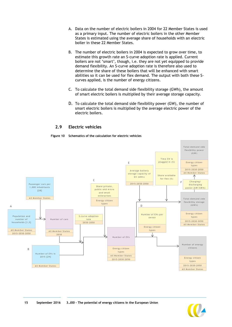- A. Data on the number of electric boilers in 2004 for 22 Member States is used as a primary input. The number of electric boilers in the other Member States is estimated using the average share of households with an electric boiler in these 22 Member States.
- B. The number of electric boilers in 2004 is expected to grow over time, to estimate this growth rate an S-curve adoption rate is applied. Current boilers are not 'smart', though, i.e. they are not yet equipped to provide demand flexibility. An S-curve adoption rate is therefore also used to determine the share of these boilers that will be enhanced with smart abilities so it can be used for flex demand. The output with both these Scurves applied, is the number of energy citizens.
- C. To calculate the total demand side flexibility storage (GWh), the amount of smart electric boilers is multiplied by their average storage capacity.
- D. To calculate the total demand side flexibility power (GW), the number of smart electric boilers is multiplied by the average electric power of the electric boilers.

#### **2.9 Electric vehicles**

**Figure 10 Schematics of the calculation for electric vehicles**

<span id="page-15-0"></span>

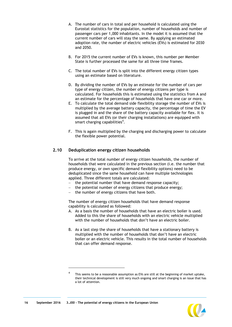- A. The number of cars in total and per household is calculated using the Eurostat statistics for the population, number of households and number of passenger cars per 1,000 inhabitants. In the model it is assumed that the current number of cars will stay the same. By applying an estimated adoption rate, the number of electric vehicles (EVs) is estimated for 2030 and 2050.
- B. For 2015 the current number of EVs is known, this number per Member State is further processed the same for all three time frames.
- C. The total number of EVs is split into the different energy citizen types using an estimate based on literature.
- D. By dividing the number of EVs by an estimate for the number of cars per type of energy citizen, the number of energy citizens per type is calculated. For households this is estimated using the statistics from A and an estimate for the percentage of households that have one car or more.
- E. To calculate the total demand side flexibility storage the number of EVs is multiplied by the average battery capacity, the percentage of time the EV is plugged in and the share of the battery capacity available for flex. It is assumed that all EVs (or their charging installations) are equipped with smart charging capabilities $4$ .
- F. This is again multiplied by the charging and discharging power to calculate the flexible power potential.

#### <span id="page-16-0"></span>**2.10 Deduplication energy citizen households**

To arrive at the total number of energy citizen households, the number of households that were calculated in the previous section (i.e. the number that produce energy, or own specific demand flexibility options) need to be deduplicated since the same household can have multiple technologies applied. Three different totals are calculated:

- $-$  the potential number that have demand response capacity;
- the potential number of energy citizens that produce energy;
- the number of energy citizens that have both.

The number of energy citizen households that have demand response capability is calculated as followed:

- A. As a basis the number of households that have an electric boiler is used. Added to this the share of households with an electric vehicle multiplied with the number of households that don't have an electric boiler.
- B. As a last step the share of households that have a stationary battery is multiplied with the number of households that don't have an electric boiler or an electric vehicle. This results in the total number of households that can offer demand response.

 $\overline{a}$ 



<sup>4</sup> This seems to be a reasonable assumption as EVs are still at the beginning of market uptake, their technical development is still very much ongoing and smart charging is an issue that has a lot of attention.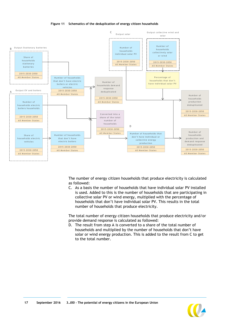



The number of energy citizen households that produce electricity is calculated as followed:

C. As a basis the number of households that have individual solar PV installed is used. Added to this is the number of households that are participating in collective solar PV or wind energy, multiplied with the percentage of households that don't have individual solar PV. This results in the total number of households that produce electricity.

The total number of energy citizen households that produce electricity and/or provide demand response is calculated as followed:

D. The result from step A is converted to a share of the total number of households and multiplied by the number of households that don't have solar or wind energy production. This is added to the result from C to get to the total number.



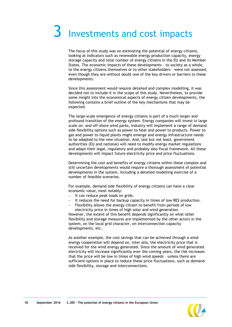# <span id="page-18-0"></span>3 Investments and cost impacts

The focus of this study was on estimating the potential of energy citizens, looking at indicators such as renewable energy production capacity, energy storage capacity and total number of energy citizens in the EU and its Member States. The economic impacts of these developments – to society as a whole, to the energy citizens themselves or to other stakeholders – were not assessed, even though they are without doubt one of the key drivers or barriers to these developments.

Since this assessment would require detailed and complex modelling, it was decided not to include it in the scope of this study. Nevertheless, to provide some insight into the economical aspects of energy citizen developments, the following contains a brief outline of the key mechanisms that may be expected.

The large-scale emergence of energy citizens is part of a much larger and profound transition of the energy system. Energy companies will invest in large scale on- and off-shore wind parks, industry will implement a range of demand side flexibility options such as power to heat and power to products. Power to gas and power to liquid plants might emerge and energy infrastructure needs to be adapted to the new situation. And, last but not least, government authorities (EU and national) will need to modify energy market regulations and adapt their legal, regulatory and probably also fiscal framework. All these developments will impact future electricity price and price fluctuations.

Determining the cost and benefits of energy citizens within these complex and still uncertain developments would require a thorough assessment of potential developments in the system, including a detailed modelling exercise of a number of feasible scenarios.

For example, demand side flexibility of energy citizens can have a clear economic value, most notably:

- $-I$  It can reduce peak loads on grids.
- $-I$  It reduces the need for backup capacity in times of low RES production.
- Flexibility allows the energy citizen to benefit from periods of low electricity price in times of high solar and wind generation.

However, the extent of this benefit depends significantly on what other flexibility and storage measures are implemented by the other actors in the system, on the local grid character, on interconnection capacity developments, etc.

As another example, the cost savings that can be achieved through a wind energy cooperation will depend on, inter alia, the electricity price that is received for the wind energy generated. Since the amount of wind generated electricity will increase significantly over the coming years, the risk increases that the price will be low in times of high wind speeds – unless there are sufficient options in place to reduce these price fluctuations, such as demand side flexibility, storage and interconnections.

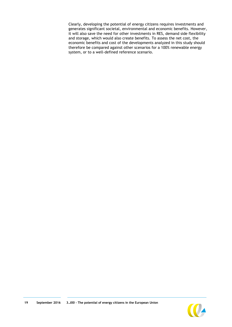Clearly, developing the potential of energy citizens requires investments and generates significant societal, environmental and economic benefits. However, it will also save the need for other investments in RES, demand side flexibility and storage, which would also create benefits. To assess the net cost, the economic benefits and cost of the developments analyzed in this study should therefore be compared against other scenarios for a 100% renewable energy system, or to a well-defined reference scenario.

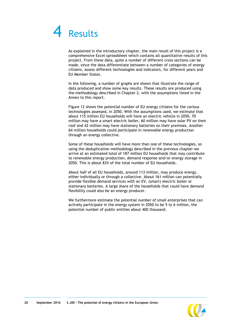## <span id="page-20-0"></span>4 Results

As explained in the introductory chapter, the main result of this project is a comprehensive Excel spreadsheet which contains all quantitative results of this project. From these data, quite a number of different cross sections can be made, since the data differentiate between a number of categories of energy citizens, assess different technologies and indicators, for different years and EU Member States.

In the following, a number of graphs are shown that illustrate the range of data produced and show some key results. These results are produced using the methodology described in Chapter [2,](#page-7-0) with the assumptions listed in the Annex to this report.

[Figure 12](#page-21-0) shows the potential number of EU energy citizens for the various technologies assessed, in 2050. With the assumptions used, we estimate that about 115 million EU households will have an electric vehicle in 2050, 70 million may have a smart electric boiler, 60 million may have solar PV on their roof and 42 million may have stationary batteries on their premises. Another 64 million households could participate in renewable energy production through an energy collective.

Some of these households will have more than one of these technologies, so using the deduplication methodology described in the previous chapter we arrive at an estimated total of 187 million EU households that may contribute to renewable energy production, demand response and/or energy storage in 2050. This is about 83% of the total number of EU households.

About half of all EU households, around 113 million, may produce energy, either individually or through a collective. About 161 million can potentially provide flexible demand services with an EV, (smart) electric boiler or stationary batteries. A large share of the households that could have demand flexibility could also be an energy producer.

We furthermore estimate the potential number of small enterprises that can actively participate in the energy system in 2050 to be 5 to 6 million, the potential number of public entities about 400 thousand.

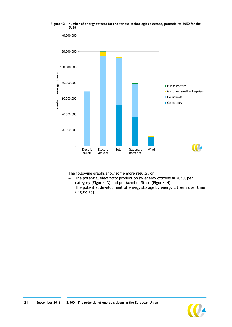

<span id="page-21-0"></span>**Figure 12 Number of energy citizens for the various technologies assessed, potential to 2050 for the EU28** 

The following graphs show some more results, on:

- The potential electricity production by energy citizens in 2050, per category [\(Figure 13\)](#page-22-0) and per Member State [\(Figure 14\)](#page-23-0);
- The potential development of energy storage by energy citizens over time [\(Figure 15\)](#page-24-0).

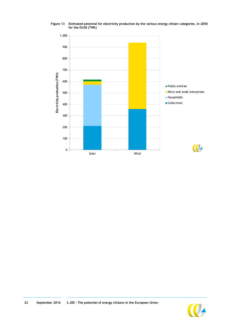

<span id="page-22-0"></span>**Figure 13 Estimated potential for electricity production by the various energy citizen categories, in 2050 for the EU28 (TWh)**



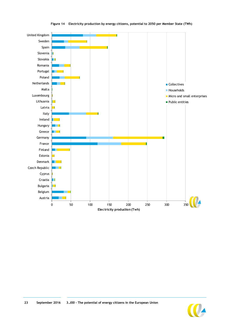<span id="page-23-0"></span>

#### **Figure 14 Electricity production by energy citizens, potential to 2050 per Member State (TWh)**

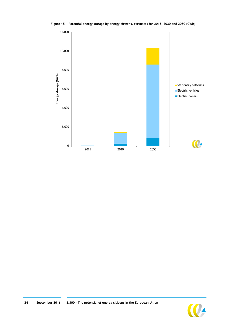<span id="page-24-0"></span>

**Figure 15 Potential energy storage by energy citizens, estimates for 2015, 2030 and 2050 (GWh)**



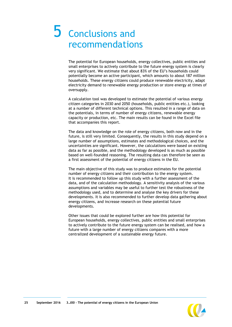## <span id="page-25-0"></span>5 Conclusions and recommendations

The potential for European households, energy collectives, public entities and small enterprises to actively contribute to the future energy system is clearly very significant. We estimate that about 83% of the EU's households could potentially become an active participant, which amounts to about 187 million households. These energy citizens could produce renewable electricity, adapt electricity demand to renewable energy production or store energy at times of oversupply.

A calculation tool was developed to estimate the potential of various energy citizen categories in 2030 and 2050 (households, public entities etc.), looking at a number of different technical options. This resulted in a range of data on the potentials, in terms of number of energy citizens, renewable energy capacity or production, etc. The main results can be found in the Excel file that accompanies this report.

The data and knowledge on the role of energy citizens, both now and in the future, is still very limited. Consequently, the results in this study depend on a large number of assumptions, estimates and methodological choices, and the uncertainties are significant. However, the calculations were based on existing data as far as possible, and the methodology developed is as much as possible based on well-founded reasoning. The resulting data can therefore be seen as a first assessment of the potential of energy citizens in the EU.

The main objective of this study was to produce estimates for the potential number of energy citizens and their contribution to the energy system. It is recommended to follow up this study with a further assessment of the data, and of the calculation methodology. A sensitivity analysis of the various assumptions and variables may be useful to further test the robustness of the methodology used, and to determine and analyse the key drivers for these developments. It is also recommended to further develop data gathering about energy citizens, and increase research on these potential future developments.

Other issues that could be explored further are how this potential for European households, energy collectives, public entities and small enterprises to actively contribute to the future energy system can be realised, and how a future with a large number of energy citizens compares with a more centralized development of a sustainable energy future.



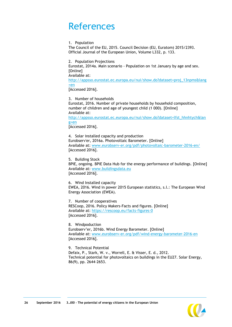## <span id="page-26-0"></span>References

1. Population

The Council of the EU, 2015. Council Decision (EU, Euratom) 2015/2393. Official Journal of the European Union, Volume L332, p. 133.

2. Population Projections Eurostat, 2014a. Main scenario - Population on 1st January by age and sex. [Online] Available at:

[http://appsso.eurostat.ec.europa.eu/nui/show.do?dataset=proj\\_13npms&lang](http://appsso.eurostat.ec.europa.eu/nui/show.do?dataset=proj_13npms&lang=en) [=en](http://appsso.eurostat.ec.europa.eu/nui/show.do?dataset=proj_13npms&lang=en)

[Accessed 2016].

3. Number of households Eurostat, 2016. Number of private households by household composition, number of children and age of youngest child (1 000). [Online] Available at:

[http://appsso.eurostat.ec.europa.eu/nui/show.do?dataset=lfst\\_hhnhtych&lan](http://appsso.eurostat.ec.europa.eu/nui/show.do?dataset=lfst_hhnhtych&lang=en) [g=en](http://appsso.eurostat.ec.europa.eu/nui/show.do?dataset=lfst_hhnhtych&lang=en)

[Accessed 2016].

4. Solar installed capacity and production Eurobserv'er, 2016a. Photovoltaic Barometer. [Online] Available at: [www.eurobserv-er.org/pdf/photovoltaic-barometer-2016-en/](http://www.eurobserv-er.org/pdf/photovoltaic-barometer-2016-en/) [Accessed 2016].

5. Building Stock BPIE, ongoing. BPIE Data Hub for the energy performance of buildings. [Online] Available at: [www.buildingsdata.eu](http://www.buildingsdata.eu/) [Accessed 2016].

6. Wind Installed capacity EWEA, 2016. Wind in power 2015 European statistics, s.l.: The European Wind Energy Association (EWEA).

7. Number of cooperatives RESCoop, 2016. Policy Makers-Facts and figures. [Online] Available at:<https://rescoop.eu/facts-figures-0> [Accessed 2016].

8. Windpoduction Eurobserv'er, 2016b. Wind Energy Barometer. [Online] Available at: [www.eurobserv-er.org/pdf/wind-energy-barometer-2016-en](http://www.eurobserv-er.org/pdf/wind-energy-barometer-2016-en) [Accessed 2016].

9. Technical Potential Defaix, P., Stark, W. v., Worrell, E. & Visser, E. d., 2012. Technical potential for photovoltaics on buildings in the EU27. Solar Energy, 86(9), pp. 2644-2653.

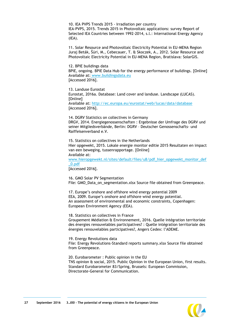10. IEA PVPS Trends 2015 - Irradiation per country IEA-PVPS, 2015. Trends 2015 in Photovoltaic applications: survey Report of Selected IEA Countries between 1992-2014, s.l.: International Energy Agency (IEA).

11. Solar Resource and Photovoltaic Electricity Potential in EU-MENA Region Juraj Beták, Šúri, M., Cebecauer, T. & Skoczek, A., 2012. Solar Resource and Photovoltaic Electricity Potential in EU-MENA Region, Bratislava: SolarGIS.

12. BPIE buildings data BPIE, ongoing. BPIE Data Hub for the energy performance of buildings. [Online] Available at: [www.buildingsdata.eu](http://www.buildingsdata.eu/) [Accessed 2016].

13. Landuse Eurostat Eurostat, 2016a. Database: Land cover and landuse. Landscape (LUCAS). [Online] Available at:<http://ec.europa.eu/eurostat/web/lucas/data/database> [Accessed 2016].

14. DGRV Statistics on collectives in Germany DRGV, 2014. Energiegenossenschaften : Ergebnisse der Umfrage des DGRV und seiner Mitgliedsverbände, Berlin: DGRV – Deutscher Genossenschafts- und Raiffeisenverband e.V.

15. Statistics on collectives in the Netherlands Hier opgewekt, 2015. Lokale energie monitor editie 2015 Resultaten en impact van een beweging, tussenrapportage. [Online] Available at:

[www.hieropgewekt.nl/sites/default/files/u8/pdf\\_hier\\_opgewekt\\_monitor\\_def](http://www.hieropgewekt.nl/sites/default/files/u8/pdf_hier_opgewekt_monitor_def_0.pdf) [\\_0.pdf](http://www.hieropgewekt.nl/sites/default/files/u8/pdf_hier_opgewekt_monitor_def_0.pdf)

[Accessed 2016].

16. GMO Solar PV Segmentation File: GMO\_Data\_on\_segmentation.xlsx Source file obtained from Greenpeace.

17. Europe's onshore and offshore wind energy potential 2009 EEA, 2009. Europe's onshore and offshore wind energy potential. An assessment of environmental and economic constraints, Copenhagen: European Environment Agency (EEA).

18. Statistics on collectives in France Groupement Médiation & Environnement, 2016. Quelle intégration territoriale des énergies renouvelables participatives? : Quelle intégration territoriale des énergies renouvelables participatives?, Angers Cedex: l"ADEME.

19. Energy Revolutions data File: Energy Revolutions-Standard reports summary.xlsx Source file obtained from Greenpeace.

20. Eurobarometer : Public opinion in the EU TNS opinion & social, 2015. Public Opinion in the European Union, first results. Standard Eurobarometer 83/Spring, Brussels: European Commission, Directorate-General for Communication.

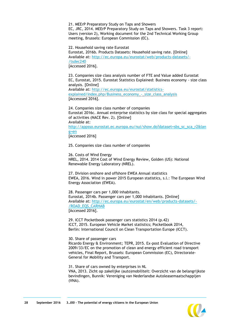21. MEErP Preparatory Study on Taps and Showers EC, JRC, 2014. MEErP Preparatory Study on Taps and Showers. Task 3 report: Users (version 2), Working document for the 2nd Technical Working Group meeting, Brussels: European Commission (EC).

22. Household saving rate Eurostat

Eurostat, 2016b. Products Datasets: Household saving rate. [Online] Available at: [http://ec.europa.eu/eurostat/web/products-datasets/-](http://ec.europa.eu/eurostat/web/products-datasets/-/tsdec240) [/tsdec240](http://ec.europa.eu/eurostat/web/products-datasets/-/tsdec240)

[Accessed 2016].

23. Companies size class analysis number of FTE and Value added Eurostat EC, Eurostat, 2015. Eurostat Statistics Explained: Business economy - size class analysis. [Online] Available at: [http://ec.europa.eu/eurostat/statistics](http://ec.europa.eu/eurostat/statistics-explained/index.php/Business_economy_-_size_class_analysis)[explained/index.php/Business\\_economy\\_-\\_size\\_class\\_analysis](http://ec.europa.eu/eurostat/statistics-explained/index.php/Business_economy_-_size_class_analysis) [Accesssed 2016].

24. Companies size class number of companies Eurostat 2016c. Annual enterprise statistics by size class for special aggregates of activities (NACE Rev. 2). [Online] Available at: [http://appsso.eurostat.ec.europa.eu/nui/show.do?dataset=sbs\\_sc\\_sca\\_r2&lan](http://appsso.eurostat.ec.europa.eu/nui/show.do?dataset=sbs_sc_sca_r2&lang=en) [g=en](http://appsso.eurostat.ec.europa.eu/nui/show.do?dataset=sbs_sc_sca_r2&lang=en) [Accessed 2016]

25. Companies size class number of companies

26. Costs of Wind Energy NREL, 2014. 2014 Cost of Wind Energy Review, Golden (US): National Renewable Energy Laboratory (NREL).

27. Division onshore and offshore EWEA Annual statistics EWEA, 2016. Wind in power 2015 European statistics, s.l.: The European Wind Energy Association (EWEA).

28. Passenger cars per 1,000 inhabitants. Eurostat, 2014b. Passenger cars per 1,000 inhabitants. [Online] Available at: [http://ec.europa.eu/eurostat/en/web/products-datasets/-](http://ec.europa.eu/eurostat/en/web/products-datasets/-/ROAD_EQS_CARHAB) [/ROAD\\_EQS\\_CARHAB](http://ec.europa.eu/eurostat/en/web/products-datasets/-/ROAD_EQS_CARHAB) [Accessed 2016].

29. ICCT Pocketbook passenger cars statistics 2014 (p.42) ICCT, 2015. European Vehicle Market statistics; Pocketbook 2014, Berlin: International Council on Clean Transportation Europe (ICCT).

30. Share of passenger cars Ricardo Energy & Environment; TEPR, 2015. Ex-post Evaluation of Directive 2009/33/EC on the promotion of clean and energy efficient road transport vehicles, Final Report, Brussels: European Commission (EC), Directorate-General for Mobility and Transport.

31. Share of cars owned by enterprises in NL VNA, 2013. Zicht op zakelijke (auto)mobiliteit: Overzicht van de belangrijkste bevindingen, Bunnik: Vereniging van Nederlandse Autoleasemaatschappijen (VNA).

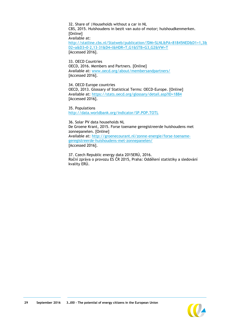32. Share of I Households without a car in NL CBS, 2015. Huishoudens in bezit van auto of motor; huishoudkenmerken. [Online] Available at: [http://statline.cbs.nl/Statweb/publication/?DM=SLNL&PA=81845NED&D1=1,3&](http://statline.cbs.nl/Statweb/publication/?DM=SLNL&PA=81845NED&D1=1,3&D2=a&D3=0-2,13-31&D4=l&HDR=T,G1&STB=G3,G2&VW=T) [D2=a&D3=0-2,13-31&D4=l&HDR=T,G1&STB=G3,G2&VW=T](http://statline.cbs.nl/Statweb/publication/?DM=SLNL&PA=81845NED&D1=1,3&D2=a&D3=0-2,13-31&D4=l&HDR=T,G1&STB=G3,G2&VW=T) [Accessed 2016].

33. OECD Countries OECD, 2016. Members and Partners. [Online] Available at: [www.oecd.org/about/membersandpartners/](http://www.oecd.org/about/membersandpartners/) [Accessed 2016].

34. OECD Europe countries OECD, 2013. Glossary of Statistical Terms: OECD-Europe. [Online] Available at: <https://stats.oecd.org/glossary/detail.asp?ID=1884> [Accessed 2016].

35. Populations <http://data.worldbank.org/indicator/SP.POP.TOTL>

36. Solar PV data households NL De Groene Krant, 2015. Forse toename geregistreerde huishoudens met zonnepanelen. [Online] Available at: [http://groenecourant.nl/zonne-energie/forse-toename](http://groenecourant.nl/zonne-energie/forse-toename-geregistreerde-huishoudens-met-zonnepanelen/)[geregistreerde-huishoudens-met-zonnepanelen/](http://groenecourant.nl/zonne-energie/forse-toename-geregistreerde-huishoudens-met-zonnepanelen/) [Accessed 2016].

37. Czech Republic energy data 2015ERÚ, 2016. Roční zpráva o provozu ES ČR 2015, Praha: Oddělení statistiky a sledování kvality ERÚ.

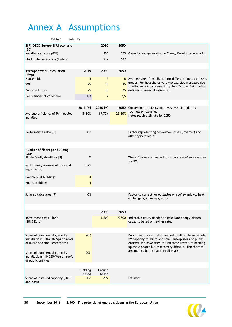## <span id="page-30-0"></span>Annex A Assumptions

| Table 1<br>Solar PV                                                                                  |                          |                 |        |                                                                                                                                                                                                                                           |
|------------------------------------------------------------------------------------------------------|--------------------------|-----------------|--------|-------------------------------------------------------------------------------------------------------------------------------------------------------------------------------------------------------------------------------------------|
| E[R] OECD Europe E[R]-scenario                                                                       |                          | 2030            | 2050   |                                                                                                                                                                                                                                           |
| [20]<br>Installed capacity (GW)                                                                      |                          | 305             |        | 555 Capacity and generation in Energy Revolution scenario.                                                                                                                                                                                |
| Electricity generation (TWh/y)                                                                       |                          | 337             | 647    |                                                                                                                                                                                                                                           |
|                                                                                                      |                          |                 |        |                                                                                                                                                                                                                                           |
| Average size of installation                                                                         | 2015                     | 2030            | 2050   |                                                                                                                                                                                                                                           |
| (kWp)<br>Households                                                                                  | 4                        | 5               |        | 6 Average size of installation for different energy citizens                                                                                                                                                                              |
| <b>SME</b>                                                                                           | 25                       | 30              | 35     | groups. For households very typical, size increases due                                                                                                                                                                                   |
| Public entitites                                                                                     | 25                       | 30              |        | to efficiency improvements up to 2050. For SME, public<br>35 entities provisional estimates.                                                                                                                                              |
| Per member of collective                                                                             | 1,3                      | $\overline{2}$  | 2,5    |                                                                                                                                                                                                                                           |
|                                                                                                      |                          |                 |        |                                                                                                                                                                                                                                           |
|                                                                                                      | 2015 [9]                 | 2030 [9]        |        | 2050 Conversion efficiency improves over time due to                                                                                                                                                                                      |
| Average efficiency of PV modules<br>installed                                                        | 15,80%                   | 19,70%          | 23,60% | technology learning.<br>Note: rough estimate for 2050.                                                                                                                                                                                    |
|                                                                                                      |                          |                 |        |                                                                                                                                                                                                                                           |
| Performance ratio [9]                                                                                | 80%                      |                 |        | Factor representing conversion losses (inverter) and<br>other system losses.                                                                                                                                                              |
|                                                                                                      |                          |                 |        |                                                                                                                                                                                                                                           |
| Number of floors per building<br>type                                                                |                          |                 |        |                                                                                                                                                                                                                                           |
| Single family dwellings [9]                                                                          | $\overline{2}$           |                 |        | These figures are needed to calculate roof surface area<br>for PV.                                                                                                                                                                        |
| Multi-family average of low- and<br>high-rise [9]                                                    | 5,75                     |                 |        |                                                                                                                                                                                                                                           |
| Commercial buildings                                                                                 | 4                        |                 |        |                                                                                                                                                                                                                                           |
| Public buildings                                                                                     | 4                        |                 |        |                                                                                                                                                                                                                                           |
|                                                                                                      |                          |                 |        |                                                                                                                                                                                                                                           |
| Solar suitable area [9]                                                                              | 40%                      |                 |        | Factor to correct for obstacles on roof (windows, heat<br>exchangers, chimneys, etc.).                                                                                                                                                    |
|                                                                                                      |                          |                 |        |                                                                                                                                                                                                                                           |
|                                                                                                      |                          | 2030            | 2050   |                                                                                                                                                                                                                                           |
| Investment costs 1 kWp<br>(2015 Euro)                                                                |                          | € 800           |        | $\epsilon$ 500 Indicative costs, needed to calculate energy citizen<br>capacity based on savings rate.                                                                                                                                    |
|                                                                                                      |                          |                 |        |                                                                                                                                                                                                                                           |
| Share of commercial grade PV<br>installations (10-250kWp) on roofs<br>of micro and small enterprises | 40%                      |                 |        | Provisional figure that is needed to attribute some solar<br>PV capacity to micro and small enterprises and public<br>entities. We have tried to find some literature backing<br>up these shares but that is very difficult. The share is |
| Share of commercial grade PV<br>installations (10-250kWp) on roofs<br>of public entities             | 20%                      |                 |        | assumed to be the same in all years.                                                                                                                                                                                                      |
|                                                                                                      |                          |                 |        |                                                                                                                                                                                                                                           |
|                                                                                                      | <b>Building</b><br>based | Ground<br>based |        |                                                                                                                                                                                                                                           |
| Share of installed capacity (2030<br>and 2050)                                                       | 80%                      | 20%             |        | Estimate.                                                                                                                                                                                                                                 |

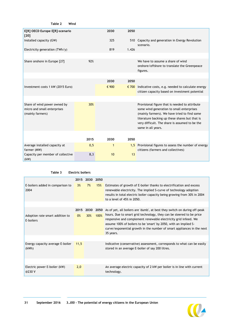| E[R] OECD Europe E[R]-scenario<br>[20]                                          |      | 2030         | 2050  |                                                                                                                                                                                                                                                                       |
|---------------------------------------------------------------------------------|------|--------------|-------|-----------------------------------------------------------------------------------------------------------------------------------------------------------------------------------------------------------------------------------------------------------------------|
| Installed capacity (GW)                                                         |      | 325          | 510   | Capacity and generation in Energy Revolution<br>scenario.                                                                                                                                                                                                             |
| Electricity generation $(TWh/y)$                                                |      | 819          | 1.426 |                                                                                                                                                                                                                                                                       |
|                                                                                 |      |              |       |                                                                                                                                                                                                                                                                       |
| Share onshore in Europe [27]                                                    | 92%  |              |       | We have to assume a share of wind<br>onshore/offshore to translate the Greenpeace<br>figures.                                                                                                                                                                         |
|                                                                                 |      |              |       |                                                                                                                                                                                                                                                                       |
|                                                                                 |      | 2030         | 2050  |                                                                                                                                                                                                                                                                       |
| Investment costs 1 kW (2015 Euro)                                               |      | € 900        |       | $\epsilon$ 700 Indicative costs, e.g. needed to calculate energy<br>citizen capacity based on investment potential                                                                                                                                                    |
|                                                                                 |      |              |       |                                                                                                                                                                                                                                                                       |
| Share of wind power owned by<br>micro and small enterprises<br>(mainly farmers) | 30%  |              |       | Provisional figure that is needed to attribute<br>some wind generation to small enterprises<br>(mainly farmers). We have tried to find some<br>literature backing up these shares but that is<br>very difficult. The share is assumed to be the<br>same in all years. |
|                                                                                 |      |              |       |                                                                                                                                                                                                                                                                       |
|                                                                                 | 2015 | 2030         | 2050  |                                                                                                                                                                                                                                                                       |
| Average installed capacity at<br>farmer (MW)                                    | 0, 5 | $\mathbf{1}$ |       | 1,5 Provisional figures to assess the number of energy<br>citizens (farmers and collectives)                                                                                                                                                                          |
| Capacity per member of collective<br>(kW)                                       | 8,3  | 10           | 13    |                                                                                                                                                                                                                                                                       |

#### **Table 3 Electric boilers**

**Table 2 Wind**

|                                              |       | 2015 2030 2050 |      |                                                                                                                                                                                                                                                                                                    |
|----------------------------------------------|-------|----------------|------|----------------------------------------------------------------------------------------------------------------------------------------------------------------------------------------------------------------------------------------------------------------------------------------------------|
| E-boilers added in comparison to<br>2004     | 3%    | 7%             | 15%  | Estimates of growth of E-boiler thanks to electrification and excess<br>renewable electricity. The implied S-curve of technology adoption<br>results in total electric boiler capacity being growing from 30% in 2004<br>to a level of 45% in 2050.                                                |
|                                              |       |                |      |                                                                                                                                                                                                                                                                                                    |
|                                              | 2015  | 2030           | 2050 | As of yet, all boilers are 'dumb', at best they switch on during off-peak                                                                                                                                                                                                                          |
| Adoption rate smart addition to<br>E-boilers | $0\%$ | 30%            | 100% | hours. Due to smart grid technology, they can be steered to be price<br>responsive and complement renewable electricity grid infeed. We<br>assume 100% of boilers to be 'smart' by 2050, with an implied S-<br>curve/exponential growth in the number of smart appliances in the next<br>35 years. |
|                                              |       |                |      |                                                                                                                                                                                                                                                                                                    |
| Energy capacity average E-boiler<br>(kWh)    | 11.5  |                |      | Indicative (conservative) assessment, corresponds to what can be easily<br>stored in an average E-boiler of say 200 litres.                                                                                                                                                                        |
|                                              |       |                |      |                                                                                                                                                                                                                                                                                                    |
| Electric power E-boiler (kW)<br>@230 V       | 2,0   |                |      | An average electric capacity of 2 kW per boiler is in line with current<br>technology.                                                                                                                                                                                                             |

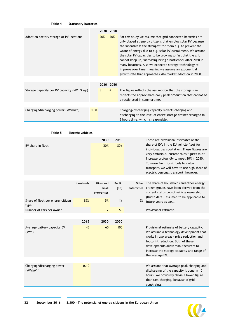#### **Table 4 Stationary batteries**

|                                            |       | 2030 | 2050      |                                                                                                                                                                                                                                                                                                                                                                                                                                                                                                                                                                    |
|--------------------------------------------|-------|------|-----------|--------------------------------------------------------------------------------------------------------------------------------------------------------------------------------------------------------------------------------------------------------------------------------------------------------------------------------------------------------------------------------------------------------------------------------------------------------------------------------------------------------------------------------------------------------------------|
| Adoption battery storage at PV locations   |       | 20%  | 70%       | For this study we assume that grid connected batteries are<br>only placed at energy citizens that employ solar PV because<br>the incentive is the strongest for them e.g. to prevent the<br>waste of energy due to e.g. solar PV curtailment. We assume<br>the solar PV capacities to be growing so fast that the grid<br>cannot keep up, increasing being a bottleneck after 2030 in<br>many locations. Also we expected storage technology to<br>improve over time, meaning we assume an exponential<br>growth rate that approaches 70% market adoption in 2050. |
|                                            |       |      |           |                                                                                                                                                                                                                                                                                                                                                                                                                                                                                                                                                                    |
|                                            |       |      | 2030 2050 |                                                                                                                                                                                                                                                                                                                                                                                                                                                                                                                                                                    |
| Storage capacity per PV capacity (kWh/kWp) |       | 3    | 4         | The figure reflects the assumption that the storage size<br>reflects the approximate daily peak production that cannot be<br>directly used in summertime.                                                                                                                                                                                                                                                                                                                                                                                                          |
|                                            |       |      |           |                                                                                                                                                                                                                                                                                                                                                                                                                                                                                                                                                                    |
| Charging/discharging power (kW/kWh)        | 0, 30 |      |           | Charging/discharging capacity reflects charging and<br>discharging to the level of entire storage drained/charged in<br>3 hours time, which is reasonable.                                                                                                                                                                                                                                                                                                                                                                                                         |

**Table 5 Electric vehicles**

| EV share in fleet                         |                   | 2030<br>20%                       | 2050<br>80%             |                      | These are provisional estimates of the<br>share of EVs in the EU vehicle fleet for<br>individual transportation. These figures are<br>very ambitious, current sales figures must<br>increase profoundly to meet 20% in 2030.<br>To move from fossil fuels to carbon<br>transport, we will have to use high share of<br>electric personal transport, however. |
|-------------------------------------------|-------------------|-----------------------------------|-------------------------|----------------------|--------------------------------------------------------------------------------------------------------------------------------------------------------------------------------------------------------------------------------------------------------------------------------------------------------------------------------------------------------------|
|                                           |                   |                                   |                         |                      |                                                                                                                                                                                                                                                                                                                                                              |
|                                           | <b>Households</b> | Micro and<br>small<br>enterprises | <b>Public</b><br>$[30]$ | Other<br>enterprises | The share of households and other energy<br>citizen groups have been derived from the<br>current status quo of vehicle ownership<br>(Dutch data), assumed to be applicable to                                                                                                                                                                                |
| Share of fleet per energy citizen<br>type | 89%               | 5%                                | 1%                      | 5%                   | future years as well.                                                                                                                                                                                                                                                                                                                                        |
| Number of cars per owner                  |                   | $\overline{2}$                    | 50                      |                      | Provisional estimate.                                                                                                                                                                                                                                                                                                                                        |
|                                           |                   |                                   |                         |                      |                                                                                                                                                                                                                                                                                                                                                              |
|                                           | 2015              | 2030                              | 2050                    |                      |                                                                                                                                                                                                                                                                                                                                                              |
| Average battery capacity EV<br>(kWh)      | 45                | 60                                | 100                     |                      | Provisional estimate of battery capacity.<br>We assume a technology development that<br>works in two areas - price reduction and<br>footprint reduction. Both of these<br>developments allow manufacturers to<br>increase the storage capacity and range of<br>the average EV.                                                                               |
|                                           |                   |                                   |                         |                      |                                                                                                                                                                                                                                                                                                                                                              |
| Charging/discharging power<br>(kW/kWh)    | 0, 10             |                                   |                         |                      | We assume that average peak charging and<br>discharging of the capacity is done in 10<br>hours. We obviously chose a lower figure<br>than fast charging, because of grid<br>constraints.                                                                                                                                                                     |

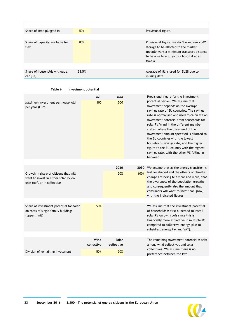| Share of time plugged in                  | 50%   | Provisional figure.                                                                                                                                                                       |
|-------------------------------------------|-------|-------------------------------------------------------------------------------------------------------------------------------------------------------------------------------------------|
|                                           |       |                                                                                                                                                                                           |
| Share of capacity available for<br>flex   | 80%   | Provisional figure, we don't want every kWh<br>storage to be allotted to the market<br>(people want a minimum transport distance<br>to be able to e.g. go to a hospital at all<br>times). |
|                                           |       |                                                                                                                                                                                           |
| Share of households without a<br>car [32] | 28,5% | Average of NL is used for EU28 due to<br>missing data.                                                                                                                                    |

| Investment potential |
|----------------------|
|----------------------|

|                                                                                                             | Min        | Max        |                                                                                                                                                                                                                                                                                                                                                                                                                                                                                                                                  | Provisional figure for the investment                                                                                                                                                                                                                   |
|-------------------------------------------------------------------------------------------------------------|------------|------------|----------------------------------------------------------------------------------------------------------------------------------------------------------------------------------------------------------------------------------------------------------------------------------------------------------------------------------------------------------------------------------------------------------------------------------------------------------------------------------------------------------------------------------|---------------------------------------------------------------------------------------------------------------------------------------------------------------------------------------------------------------------------------------------------------|
| Maximum investment per household<br>per year (Euro)                                                         | 100<br>500 |            | potential per MS. We assume that<br>investment depends on the average<br>savings rate of EU countries. The savings<br>rate is normalised and used to calculate an<br>investment potential from households for<br>solar PV/wind in the different member<br>states, where the lower end of the<br>investment amount specified is allotted to<br>the EU countries with the lowest<br>households savings rate, and the higher<br>figure to the EU country with the highest<br>savings rate, with the other MS falling in<br>between. |                                                                                                                                                                                                                                                         |
|                                                                                                             |            |            |                                                                                                                                                                                                                                                                                                                                                                                                                                                                                                                                  |                                                                                                                                                                                                                                                         |
|                                                                                                             |            | 2030       | 2050                                                                                                                                                                                                                                                                                                                                                                                                                                                                                                                             | We assume that as the energy transition is                                                                                                                                                                                                              |
| Growth in share of citizens that will<br>want to invest in either solar PV on<br>own roof, or in collective |            | 50%        | 100%                                                                                                                                                                                                                                                                                                                                                                                                                                                                                                                             | further shaped and the effects of climate<br>change are being felt more and more, that<br>the awareness of the population growths<br>and consequently also the amount that<br>consumers will want to invest can grow,<br>with the indicated figures.    |
| Share of investment potential for solar<br>on roofs of single family buildings<br>(upper limit)             | 50%        |            |                                                                                                                                                                                                                                                                                                                                                                                                                                                                                                                                  | We assume that the investment potential<br>of households is first allocated to install<br>solar PV on own roofs since this is<br>financially more attractive in multiple MS<br>compared to collective energy (due to<br>subsidies, energy tax and VAT). |
|                                                                                                             | Wind       | Solar      |                                                                                                                                                                                                                                                                                                                                                                                                                                                                                                                                  | The remaining investment potential is split                                                                                                                                                                                                             |
|                                                                                                             | collective | collective |                                                                                                                                                                                                                                                                                                                                                                                                                                                                                                                                  | among wind collectives and solar                                                                                                                                                                                                                        |
| Division of remaining investment                                                                            | 50%        | 50%        |                                                                                                                                                                                                                                                                                                                                                                                                                                                                                                                                  | collectives. We assume there is no<br>preference between the two.                                                                                                                                                                                       |